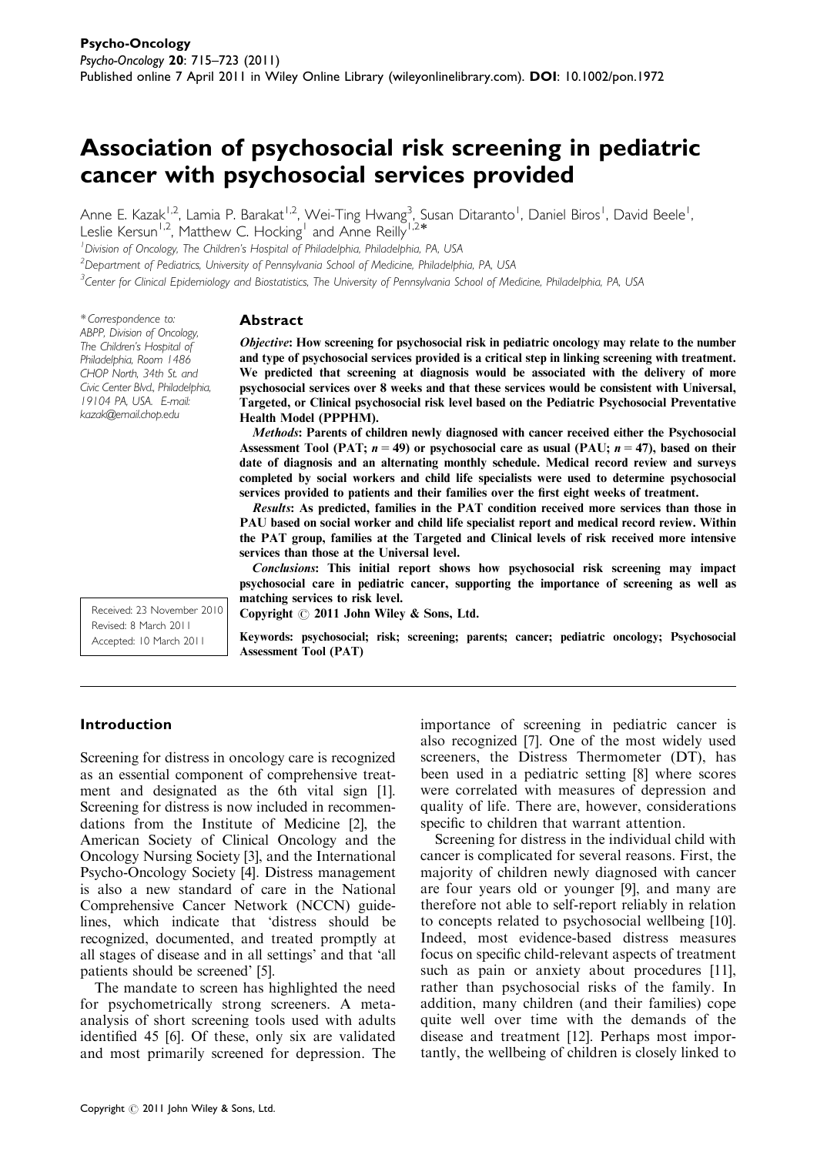# Association of psychosocial risk screening in pediatric cancer with psychosocial services provided

Anne E. Kazak<sup>1,2</sup>, Lamia P. Barakat<sup>1,2</sup>, Wei-Ting Hwang<sup>3</sup>, Susan Ditaranto<sup>1</sup>, Daniel Biros<sup>1</sup>, David Beele<sup>1</sup><br>Leelia Kamun<sup>1,2</sup>, Matthou C. Hosking<sup>1</sup> and Anne Beillu<sup>1,2</sup>\* ,

Leslie Kersun<sup>1,2</sup>, Matthew C. Hocking<sup>1</sup> and Anne Reilly

<sup>1</sup> Division of Oncology, The Children's Hospital of Philadelphia, Philadelphia, PA, USA

<sup>2</sup>Department of Pediatrics, University of Pennsylvania School of Medicine, Philadelphia, PA, USA

<sup>3</sup>Center for Clinical Epidemiology and Biostatistics, The University of Pennsylvania School of Medicine, Philadelphia, PA, USA

\* Correspondence to: ABPP, Division of Oncology, The Children's Hospital of Philadelphia, Room 1486 CHOP North, 34th St. and Civic Center Blvd., Philadelphia, 19104 PA, USA. E-mail: kazak@email.chop.edu

#### Abstract

Objective: How screening for psychosocial risk in pediatric oncology may relate to the number and type of psychosocial services provided is a critical step in linking screening with treatment. We predicted that screening at diagnosis would be associated with the delivery of more psychosocial services over 8 weeks and that these services would be consistent with Universal, Targeted, or Clinical psychosocial risk level based on the Pediatric Psychosocial Preventative Health Model (PPPHM).

Methods: Parents of children newly diagnosed with cancer received either the Psychosocial Assessment Tool (PAT;  $n = 49$ ) or psychosocial care as usual (PAU;  $n = 47$ ), based on their date of diagnosis and an alternating monthly schedule. Medical record review and surveys completed by social workers and child life specialists were used to determine psychosocial services provided to patients and their families over the first eight weeks of treatment.

Results: As predicted, families in the PAT condition received more services than those in PAU based on social worker and child life specialist report and medical record review. Within the PAT group, families at the Targeted and Clinical levels of risk received more intensive services than those at the Universal level.

Conclusions: This initial report shows how psychosocial risk screening may impact psychosocial care in pediatric cancer, supporting the importance of screening as well as matching services to risk level.

Copyright  $\odot$  2011 John Wiley & Sons, Ltd.

Keywords: psychosocial; risk; screening; parents; cancer; pediatric oncology; Psychosocial Assessment Tool (PAT)

# Introduction

Received: 23 November 2010 Revised: 8 March 2011 Accepted: 10 March 2011

Screening for distress in oncology care is recognized as an essential component of comprehensive treatment and designated as the 6th vital sign [1]. Screening for distress is now included in recommendations from the Institute of Medicine [2], the American Society of Clinical Oncology and the Oncology Nursing Society [3], and the International Psycho-Oncology Society [4]. Distress management is also a new standard of care in the National Comprehensive Cancer Network (NCCN) guidelines, which indicate that 'distress should be recognized, documented, and treated promptly at all stages of disease and in all settings' and that 'all patients should be screened' [5].

The mandate to screen has highlighted the need for psychometrically strong screeners. A metaanalysis of short screening tools used with adults identified 45 [6]. Of these, only six are validated and most primarily screened for depression. The importance of screening in pediatric cancer is also recognized [7]. One of the most widely used screeners, the Distress Thermometer (DT), has been used in a pediatric setting [8] where scores were correlated with measures of depression and quality of life. There are, however, considerations specific to children that warrant attention.

Screening for distress in the individual child with cancer is complicated for several reasons. First, the majority of children newly diagnosed with cancer are four years old or younger [9], and many are therefore not able to self-report reliably in relation to concepts related to psychosocial wellbeing [10]. Indeed, most evidence-based distress measures focus on specific child-relevant aspects of treatment such as pain or anxiety about procedures [11], rather than psychosocial risks of the family. In addition, many children (and their families) cope quite well over time with the demands of the disease and treatment [12]. Perhaps most importantly, the wellbeing of children is closely linked to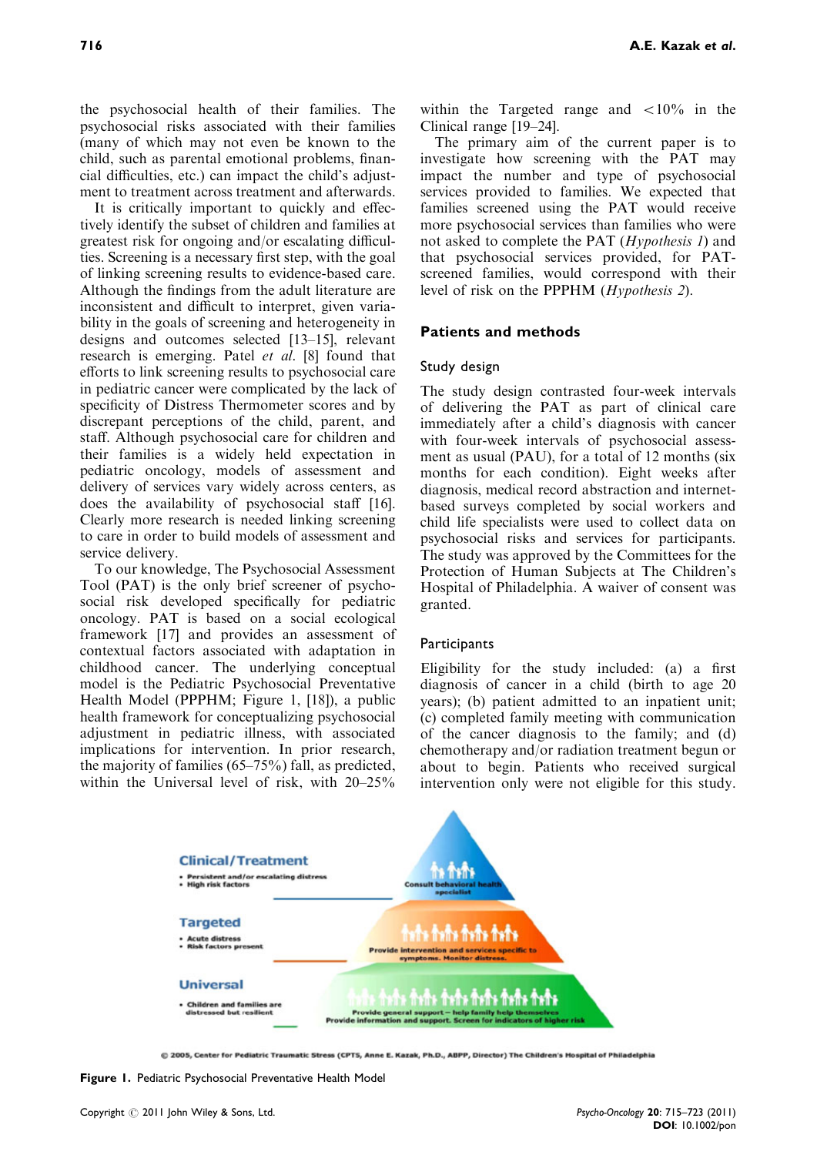the psychosocial health of their families. The psychosocial risks associated with their families (many of which may not even be known to the child, such as parental emotional problems, financial difficulties, etc.) can impact the child's adjustment to treatment across treatment and afterwards.

It is critically important to quickly and effectively identify the subset of children and families at greatest risk for ongoing and/or escalating difficulties. Screening is a necessary first step, with the goal of linking screening results to evidence-based care. Although the findings from the adult literature are inconsistent and difficult to interpret, given variability in the goals of screening and heterogeneity in designs and outcomes selected [13–15], relevant research is emerging. Patel et al. [8] found that efforts to link screening results to psychosocial care in pediatric cancer were complicated by the lack of specificity of Distress Thermometer scores and by discrepant perceptions of the child, parent, and staff. Although psychosocial care for children and their families is a widely held expectation in pediatric oncology, models of assessment and delivery of services vary widely across centers, as does the availability of psychosocial staff [16]. Clearly more research is needed linking screening to care in order to build models of assessment and service delivery.

To our knowledge, The Psychosocial Assessment Tool (PAT) is the only brief screener of psychosocial risk developed specifically for pediatric oncology. PAT is based on a social ecological framework [17] and provides an assessment of contextual factors associated with adaptation in childhood cancer. The underlying conceptual model is the Pediatric Psychosocial Preventative Health Model (PPPHM; Figure 1, [18]), a public health framework for conceptualizing psychosocial adjustment in pediatric illness, with associated implications for intervention. In prior research, the majority of families (65–75%) fall, as predicted, within the Universal level of risk, with 20–25%

within the Targeted range and  $\langle 10\%$  in the Clinical range [19–24].

The primary aim of the current paper is to investigate how screening with the PAT may impact the number and type of psychosocial services provided to families. We expected that families screened using the PAT would receive more psychosocial services than families who were not asked to complete the PAT (Hypothesis 1) and that psychosocial services provided, for PATscreened families, would correspond with their level of risk on the PPPHM (Hypothesis 2).

## Patients and methods

#### Study design

The study design contrasted four-week intervals of delivering the PAT as part of clinical care immediately after a child's diagnosis with cancer with four-week intervals of psychosocial assessment as usual (PAU), for a total of 12 months (six months for each condition). Eight weeks after diagnosis, medical record abstraction and internetbased surveys completed by social workers and child life specialists were used to collect data on psychosocial risks and services for participants. The study was approved by the Committees for the Protection of Human Subjects at The Children's Hospital of Philadelphia. A waiver of consent was granted.

#### **Participants**

Eligibility for the study included: (a) a first diagnosis of cancer in a child (birth to age 20 years); (b) patient admitted to an inpatient unit; (c) completed family meeting with communication of the cancer diagnosis to the family; and (d) chemotherapy and/or radiation treatment begun or about to begin. Patients who received surgical intervention only were not eligible for this study.



© 2005, Center for Pediatric Traumatic Stress (CPT5, Anne E. Kazak, Ph.D., ABPP, Director) The Children's Hospital of Philadelphia

Figure 1. Pediatric Psychosocial Preventative Health Model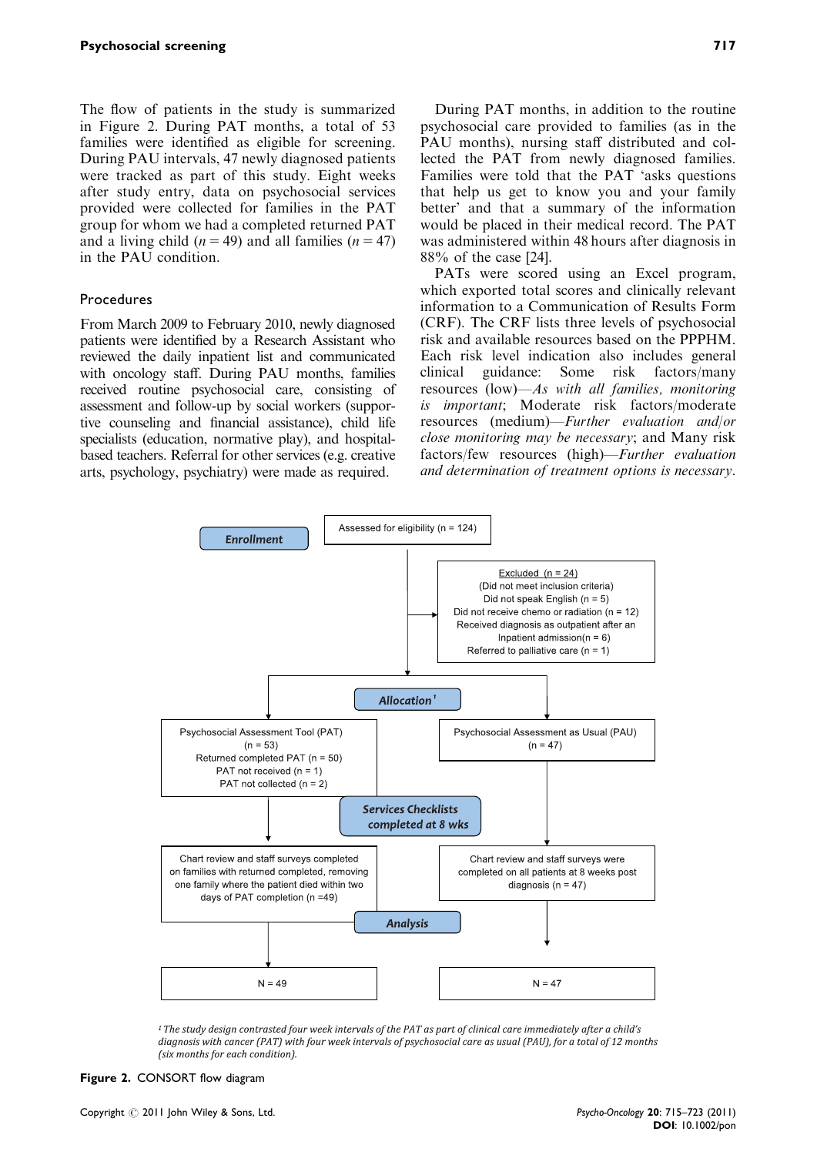The flow of patients in the study is summarized in Figure 2. During PAT months, a total of 53 families were identified as eligible for screening. During PAU intervals, 47 newly diagnosed patients were tracked as part of this study. Eight weeks after study entry, data on psychosocial services provided were collected for families in the PAT group for whom we had a completed returned PAT and a living child ( $n = 49$ ) and all families ( $n = 47$ ) in the PAU condition.

#### Procedures

From March 2009 to February 2010, newly diagnosed patients were identified by a Research Assistant who reviewed the daily inpatient list and communicated with oncology staff. During PAU months, families received routine psychosocial care, consisting of assessment and follow-up by social workers (supportive counseling and financial assistance), child life specialists (education, normative play), and hospitalbased teachers. Referral for other services (e.g. creative arts, psychology, psychiatry) were made as required.

During PAT months, in addition to the routine psychosocial care provided to families (as in the PAU months), nursing staff distributed and collected the PAT from newly diagnosed families. Families were told that the PAT 'asks questions that help us get to know you and your family better' and that a summary of the information would be placed in their medical record. The PAT was administered within 48 hours after diagnosis in 88% of the case [24].

PATs were scored using an Excel program, which exported total scores and clinically relevant information to a Communication of Results Form (CRF). The CRF lists three levels of psychosocial risk and available resources based on the PPPHM. Each risk level indication also includes general clinical guidance: Some risk factors/many resources (low)—As with all families, monitoring is important; Moderate risk factors/moderate resources (medium)—Further evaluation and/or close monitoring may be necessary; and Many risk factors/few resources (high)—Further evaluation and determination of treatment options is necessary.



<sup>1</sup> The study design contrasted four week intervals of the PAT as part of clinical care immediately after a child's diagnosis with cancer (PAT) with four week intervals of psychosocial care as usual (PAU), for a total of 12 months (six months for each condition).

Figure 2. CONSORT flow diagram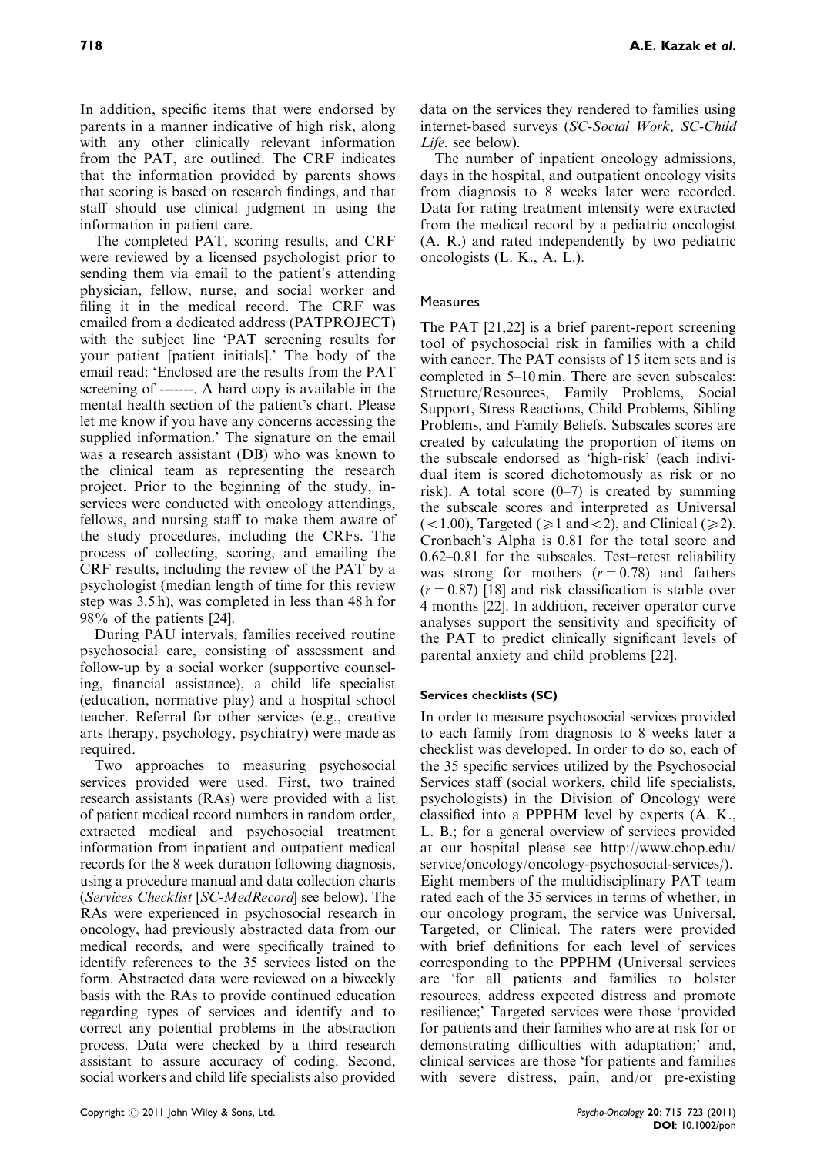In addition, specific items that were endorsed by parents in a manner indicative of high risk, along with any other clinically relevant information from the PAT, are outlined. The CRF indicates that the information provided by parents shows that scoring is based on research findings, and that staff should use clinical judgment in using the information in patient care.

The completed PAT, scoring results, and CRF were reviewed by a licensed psychologist prior to sending them via email to the patient's attending physician, fellow, nurse, and social worker and filing it in the medical record. The CRF was emailed from a dedicated address (PATPROJECT) with the subject line 'PAT screening results for your patient [patient initials].' The body of the email read: 'Enclosed are the results from the PAT screening of -------. A hard copy is available in the mental health section of the patient's chart. Please let me know if you have any concerns accessing the supplied information.' The signature on the email was a research assistant (DB) who was known to the clinical team as representing the research project. Prior to the beginning of the study, inservices were conducted with oncology attendings, fellows, and nursing staff to make them aware of the study procedures, including the CRFs. The process of collecting, scoring, and emailing the CRF results, including the review of the PAT by a psychologist (median length of time for this review step was 3.5 h), was completed in less than 48 h for 98% of the patients [24].

During PAU intervals, families received routine psychosocial care, consisting of assessment and follow-up by a social worker (supportive counseling, financial assistance), a child life specialist (education, normative play) and a hospital school teacher. Referral for other services (e.g., creative arts therapy, psychology, psychiatry) were made as required.

Two approaches to measuring psychosocial services provided were used. First, two trained research assistants (RAs) were provided with a list of patient medical record numbers in random order, extracted medical and psychosocial treatment information from inpatient and outpatient medical records for the 8 week duration following diagnosis, using a procedure manual and data collection charts (Services Checklist [SC-MedRecord] see below). The RAs were experienced in psychosocial research in oncology, had previously abstracted data from our medical records, and were specifically trained to identify references to the 35 services listed on the form. Abstracted data were reviewed on a biweekly basis with the RAs to provide continued education regarding types of services and identify and to correct any potential problems in the abstraction process. Data were checked by a third research assistant to assure accuracy of coding. Second, social workers and child life specialists also provided

data on the services they rendered to families using internet-based surveys (SC-Social Work, SC-Child Life, see below).

The number of inpatient oncology admissions, days in the hospital, and outpatient oncology visits from diagnosis to 8 weeks later were recorded. Data for rating treatment intensity were extracted from the medical record by a pediatric oncologist (A. R.) and rated independently by two pediatric oncologists (L. K., A. L.).

# Measures

The PAT [21,22] is a brief parent-report screening tool of psychosocial risk in families with a child with cancer. The PAT consists of 15 item sets and is completed in 5–10 min. There are seven subscales: Structure/Resources, Family Problems, Social Support, Stress Reactions, Child Problems, Sibling Problems, and Family Beliefs. Subscales scores are created by calculating the proportion of items on the subscale endorsed as 'high-risk' (each individual item is scored dichotomously as risk or no risk). A total score  $(0-7)$  is created by summing the subscale scores and interpreted as Universal  $(<1.00$ ), Targeted ( $\geq 1$  and  $< 2$ ), and Clinical ( $\geq 2$ ). Cronbach's Alpha is 0.81 for the total score and 0.62–0.81 for the subscales. Test–retest reliability was strong for mothers  $(r = 0.78)$  and fathers  $(r = 0.87)$  [18] and risk classification is stable over 4 months [22]. In addition, receiver operator curve analyses support the sensitivity and specificity of the PAT to predict clinically significant levels of parental anxiety and child problems [22].

# Services checklists (SC)

In order to measure psychosocial services provided to each family from diagnosis to 8 weeks later a checklist was developed. In order to do so, each of the 35 specific services utilized by the Psychosocial Services staff (social workers, child life specialists, psychologists) in the Division of Oncology were classified into a PPPHM level by experts (A. K., L. B.; for a general overview of services provided at our hospital please see http://www.chop.edu/ service/oncology/oncology-psychosocial-services/). Eight members of the multidisciplinary PAT team rated each of the 35 services in terms of whether, in our oncology program, the service was Universal, Targeted, or Clinical. The raters were provided with brief definitions for each level of services corresponding to the PPPHM (Universal services are 'for all patients and families to bolster resources, address expected distress and promote resilience;' Targeted services were those 'provided for patients and their families who are at risk for or demonstrating difficulties with adaptation;' and, clinical services are those 'for patients and families with severe distress, pain, and/or pre-existing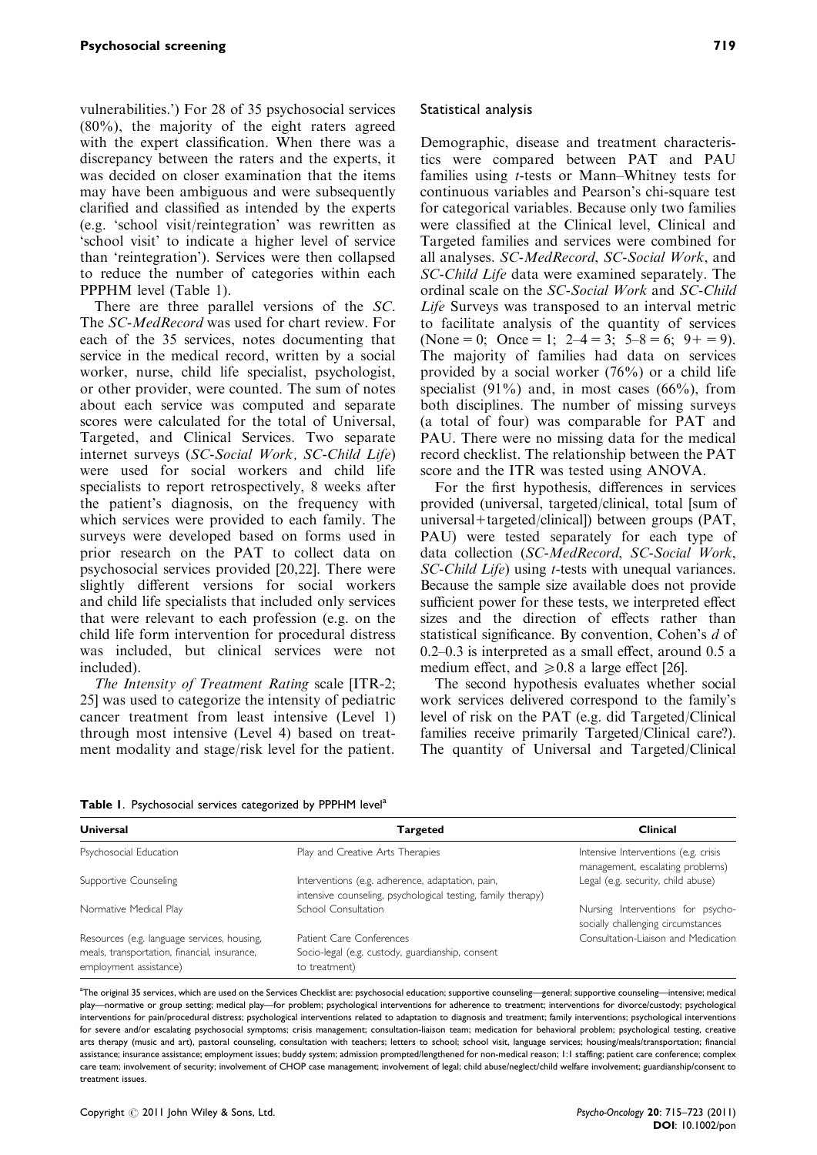vulnerabilities.') For 28 of 35 psychosocial services (80%), the majority of the eight raters agreed with the expert classification. When there was a discrepancy between the raters and the experts, it was decided on closer examination that the items may have been ambiguous and were subsequently clarified and classified as intended by the experts (e.g. 'school visit/reintegration' was rewritten as 'school visit' to indicate a higher level of service than 'reintegration'). Services were then collapsed to reduce the number of categories within each PPPHM level (Table 1).

There are three parallel versions of the SC. The SC-MedRecord was used for chart review. For each of the 35 services, notes documenting that service in the medical record, written by a social worker, nurse, child life specialist, psychologist, or other provider, were counted. The sum of notes about each service was computed and separate scores were calculated for the total of Universal, Targeted, and Clinical Services. Two separate internet surveys (SC-Social Work, SC-Child Life) were used for social workers and child life specialists to report retrospectively, 8 weeks after the patient's diagnosis, on the frequency with which services were provided to each family. The surveys were developed based on forms used in prior research on the PAT to collect data on psychosocial services provided [20,22]. There were slightly different versions for social workers and child life specialists that included only services that were relevant to each profession (e.g. on the child life form intervention for procedural distress was included, but clinical services were not included).

The Intensity of Treatment Rating scale [ITR-2; 25] was used to categorize the intensity of pediatric cancer treatment from least intensive (Level 1) through most intensive (Level 4) based on treatment modality and stage/risk level for the patient.

### Statistical analysis

Demographic, disease and treatment characteristics were compared between PAT and PAU families using t-tests or Mann–Whitney tests for continuous variables and Pearson's chi-square test for categorical variables. Because only two families were classified at the Clinical level, Clinical and Targeted families and services were combined for all analyses. SC-MedRecord, SC-Social Work, and SC-Child Life data were examined separately. The ordinal scale on the SC-Social Work and SC-Child Life Surveys was transposed to an interval metric to facilitate analysis of the quantity of services (None = 0; Once = 1; 2–4 = 3;  $5-8 = 6$ ; 9+ = 9). The majority of families had data on services provided by a social worker (76%) or a child life specialist  $(91\%)$  and, in most cases  $(66\%)$ , from both disciplines. The number of missing surveys (a total of four) was comparable for PAT and PAU. There were no missing data for the medical record checklist. The relationship between the PAT score and the ITR was tested using ANOVA.

For the first hypothesis, differences in services provided (universal, targeted/clinical, total [sum of universal+targeted/clinical]) between groups ( $PAT$ , PAU) were tested separately for each type of data collection (SC-MedRecord, SC-Social Work, SC-Child Life) using *t*-tests with unequal variances. Because the sample size available does not provide sufficient power for these tests, we interpreted effect sizes and the direction of effects rather than statistical significance. By convention, Cohen's d of 0.2–0.3 is interpreted as a small effect, around 0.5 a medium effect, and  $\geq 0.8$  a large effect [26].

The second hypothesis evaluates whether social work services delivered correspond to the family's level of risk on the PAT (e.g. did Targeted/Clinical families receive primarily Targeted/Clinical care?). The quantity of Universal and Targeted/Clinical

Table I. Psychosocial services categorized by PPPHM level<sup>a</sup>

| Universal                                                                                                             | <b>Targeted</b>                                                                                                  | <b>Clinical</b>                                                          |  |  |
|-----------------------------------------------------------------------------------------------------------------------|------------------------------------------------------------------------------------------------------------------|--------------------------------------------------------------------------|--|--|
| Psychosocial Education                                                                                                | Play and Creative Arts Therapies                                                                                 | Intensive Interventions (e.g. crisis<br>management, escalating problems) |  |  |
| Supportive Counseling                                                                                                 | Interventions (e.g. adherence, adaptation, pain,<br>intensive counseling, psychological testing, family therapy) | Legal (e.g. security, child abuse)                                       |  |  |
| Normative Medical Play                                                                                                | School Consultation                                                                                              | Nursing Interventions for psycho-<br>socially challenging circumstances  |  |  |
| Resources (e.g. language services, housing,<br>meals, transportation, financial, insurance,<br>employment assistance) | Patient Care Conferences<br>Socio-legal (e.g. custody, guardianship, consent<br>to treatment)                    | Consultation-Liaison and Medication                                      |  |  |

a<br>an the original 35 services, which are used on the Services Checklist are: psychosocial education; supportive counseling—general; supportive counseling—intensive; medical and the Service of the Services Checklist are pr play—normative or group setting; medical play—for problem; psychological interventions for adherence to treatment; interventions for divorce/custody; psychological interventions for pain/procedural distress; psychological interventions related to adaptation to diagnosis and treatment; family interventions; psychological interventions for severe and/or escalating psychosocial symptoms; crisis management; consultation-liaison team; medication for behavioral problem; psychological testing, creative arts therapy (music and art), pastoral counseling, consultation with teachers; letters to school; school visit, language services; housing/meals/transportation; financial assistance; insurance assistance; employment issues; buddy system; admission prompted/lengthened for non-medical reason; 1:1 staffing; patient care conference; complex care team; involvement of security; involvement of CHOP case management; involvement of legal; child abuse/neglect/child welfare involvement; guardianship/consent to treatment issues.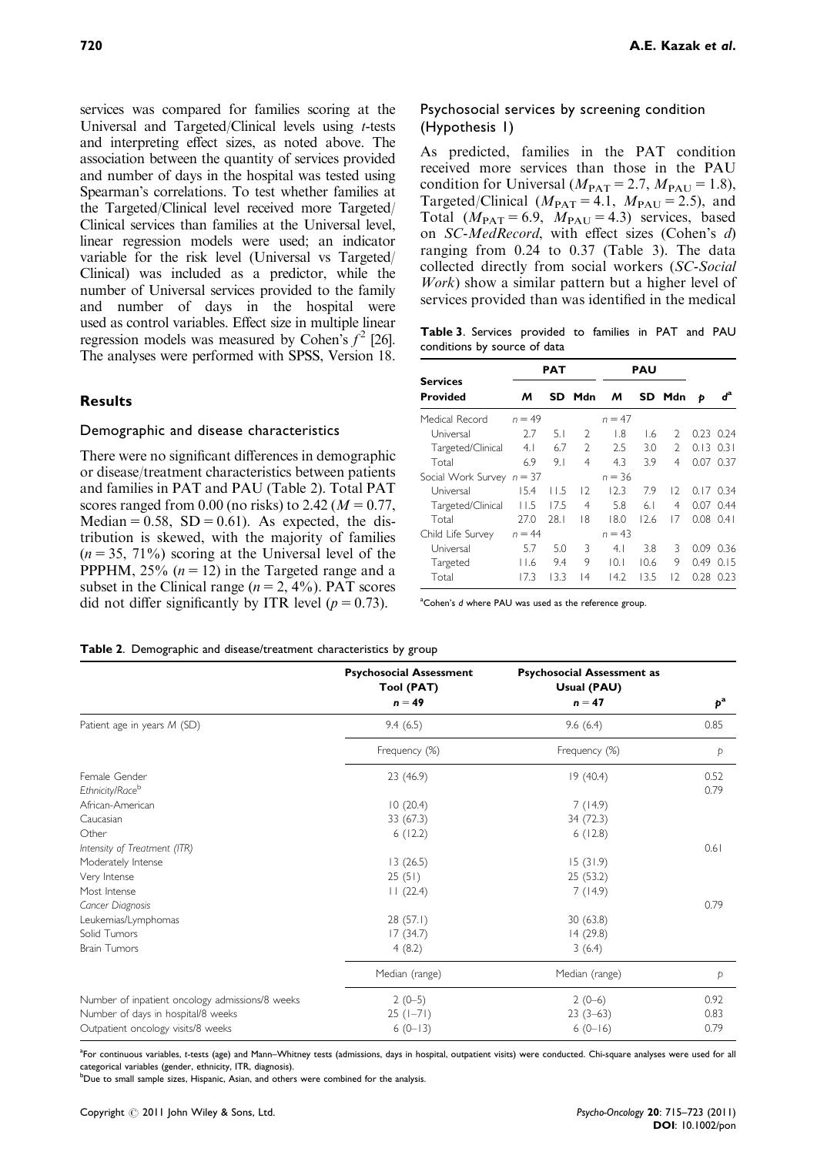services was compared for families scoring at the Universal and Targeted/Clinical levels using t-tests and interpreting effect sizes, as noted above. The association between the quantity of services provided and number of days in the hospital was tested using Spearman's correlations. To test whether families at the Targeted/Clinical level received more Targeted/ Clinical services than families at the Universal level, linear regression models were used; an indicator variable for the risk level (Universal vs Targeted/ Clinical) was included as a predictor, while the number of Universal services provided to the family and number of days in the hospital were used as control variables. Effect size in multiple linear regression models was measured by Cohen's  $f^2$  [26]. The analyses were performed with SPSS, Version 18.

# Results

#### Demographic and disease characteristics

There were no significant differences in demographic or disease/treatment characteristics between patients and families in PAT and PAU (Table 2). Total PAT scores ranged from 0.00 (no risks) to 2.42 ( $M = 0.77$ , Median =  $0.58$ , SD =  $0.61$ ). As expected, the distribution is skewed, with the majority of families  $(n = 35, 71\%)$  scoring at the Universal level of the PPPHM, 25%  $(n = 12)$  in the Targeted range and a subset in the Clinical range  $(n = 2, 4\%)$ . PAT scores did not differ significantly by ITR level ( $p = 0.73$ ).

# Psychosocial services by screening condition (Hypothesis 1)

As predicted, families in the PAT condition received more services than those in the PAU condition for Universal ( $M_{\text{PAT}} = 2.7$ ,  $M_{\text{PAU}} = 1.8$ ), Targeted/Clinical  $(M<sub>PAT</sub> = 4.1, M<sub>PAU</sub> = 2.5)$ , and Total  $(M<sub>PAT</sub> = 6.9, M<sub>PAU</sub> = 4.3)$  services, based on SC-MedRecord, with effect sizes (Cohen's d) ranging from 0.24 to 0.37 (Table 3). The data collected directly from social workers (SC-Social Work) show a similar pattern but a higher level of services provided than was identified in the medical

Table 3. Services provided to families in PAT and PAU conditions by source of data

| <b>Services</b>             | PAT      |       |               | PAU            |                |                |               |           |
|-----------------------------|----------|-------|---------------|----------------|----------------|----------------|---------------|-----------|
| Provided                    | м        | SD.   | Mdn           | м              |                | SD Mdn         | Þ             | ď         |
| Medical Record              | $n = 49$ |       |               | $n = 47$       |                |                |               |           |
| Universal                   | 2.7      | 5.1   | $\mathcal{L}$ | $\overline{8}$ | I.6            | 2              |               | 0.23 0.24 |
| Targeted/Clinical           | 4.1      | 6.7   | $\mathcal{L}$ | 2.5            | 3.0            | $\mathfrak{D}$ | $0.13$ $0.31$ |           |
| Total                       | 6.9      | 9.1   | 4             | 4.3            | 3.9            | 4              |               | 0.07 0.37 |
| Social Work Survey $n = 37$ |          |       |               | $n = 36$       |                |                |               |           |
| Universal                   | 15.4     | l I.5 | 12            | 12.3           | 7.9            | $\overline{2}$ |               | 0.17 0.34 |
| Targeted/Clinical           | 11.5     | 17.5  | 4             | 5.8            | 6 <sub>1</sub> | 4              | 0.07          | 0.44      |
| Total                       | 27.0     | 28.1  | 18            | 18.0           | 12.6           | 17             | $0.08$ $0.41$ |           |
| Child Life Survey           | $n = 44$ |       |               | $n = 43$       |                |                |               |           |
| Universal                   | 5.7      | 5.0   | 3             | 4.1            | 3.8            | 3              | O.O9          | 0.36      |
| Targeted                    | 11.6     | 9.4   | 9             | 10.1           | 10.6           | 9              | 0.49          | 0.15      |
| Total                       | 17.3     | 13.3  | 14            | 14.2           | 13.5           | 12             | 0.28          | 0.23      |

<sup>a</sup>Cohen's d where PAU was used as the reference group.

#### Table 2. Demographic and disease/treatment characteristics by group

|                                                 | <b>Psychosocial Assessment</b><br>Tool (PAT) | <b>Psychosocial Assessment as</b><br>Usual (PAU) |             |
|-------------------------------------------------|----------------------------------------------|--------------------------------------------------|-------------|
|                                                 | $n = 49$                                     | $n = 47$                                         | $p^{\rm a}$ |
| Patient age in years M (SD)                     | 9.4(6.5)                                     | 9.6(6.4)                                         | 0.85        |
|                                                 | Frequency (%)                                | Frequency (%)                                    | Þ           |
| Female Gender                                   | 23 (46.9)                                    | 19(40.4)                                         | 0.52        |
| Ethnicity/Raceb                                 |                                              |                                                  | 0.79        |
| African-American                                | 10(20.4)                                     | 7(14.9)                                          |             |
| Caucasian                                       | 33 (67.3)                                    | 34 (72.3)                                        |             |
| Other                                           | 6(12.2)                                      | 6(12.8)                                          |             |
| Intensity of Treatment (ITR)                    |                                              |                                                  | 0.61        |
| Moderately Intense                              | 13(26.5)                                     | 15(31.9)                                         |             |
| Very Intense                                    | 25(51)                                       | 25(53.2)                                         |             |
| Most Intense                                    | 11(22.4)                                     | 7(14.9)                                          |             |
| Cancer Diagnosis                                |                                              |                                                  | 0.79        |
| Leukemias/Lymphomas                             | 28(57.1)                                     | 30(63.8)                                         |             |
| Solid Tumors                                    | 17(34.7)                                     | 14(29.8)                                         |             |
| <b>Brain Tumors</b>                             | 4(8.2)                                       | 3(6.4)                                           |             |
|                                                 | Median (range)                               | Median (range)                                   | p           |
| Number of inpatient oncology admissions/8 weeks | $2(0-5)$                                     | $2(0-6)$                                         | 0.92        |
| Number of days in hospital/8 weeks              | $25( -71)$                                   | $23(3-63)$                                       | 0.83        |
| Outpatient oncology visits/8 weeks              | $6(0-13)$                                    | $6(0-16)$                                        | 0.79        |

<sup>a</sup>For continuous variables, t-tests (age) and Mann–Whitney tests (admissions, days in hospital, outpatient visits) were conducted. Chi-square analyses were used for all categorical variables (gender, ethnicity, ITR, diagnosis).

<sup>b</sup>Due to small sample sizes, Hispanic, Asian, and others were combined for the analysis.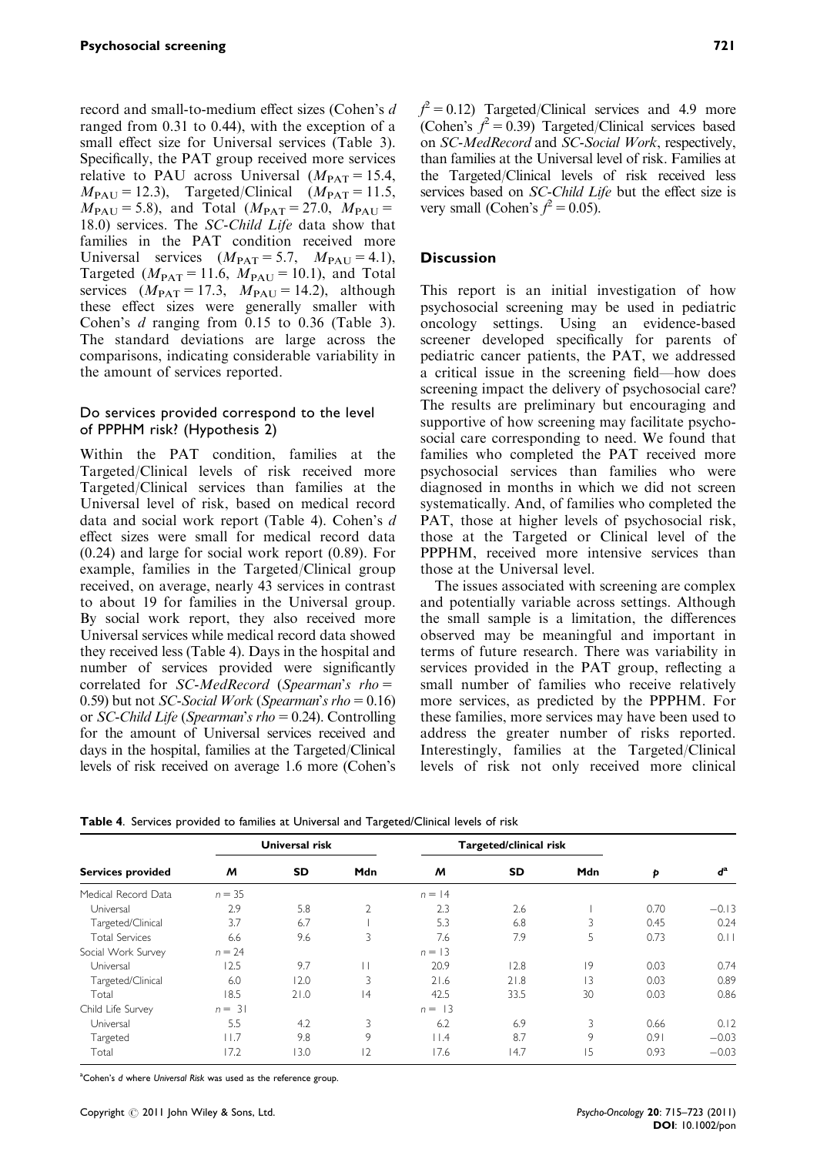record and small-to-medium effect sizes (Cohen's d ranged from 0.31 to 0.44), with the exception of a small effect size for Universal services (Table 3). Specifically, the PAT group received more services relative to PAU across Universal  $(M_{\text{PAT}} = 15.4,$  $M_{\rm PAU}$  = 12.3), Targeted/Clinical ( $M_{\rm PAT}$  = 11.5,  $M_{PAU} = 5.8$ ), and Total ( $M_{PAT} = 27.0$ ,  $M_{PAU} =$ 18.0) services. The SC-Child Life data show that families in the PAT condition received more Universal services  $(M_{\text{PAT}} = 5.7, M_{\text{PAU}} = 4.1)$ , Targeted ( $M_{\text{PAT}} = 11.6$ ,  $M_{\text{PAU}} = 10.1$ ), and Total services  $(M<sub>PAT</sub> = 17.3, M<sub>PAU</sub> = 14.2),$  although these effect sizes were generally smaller with Cohen's d ranging from 0.15 to 0.36 (Table 3). The standard deviations are large across the comparisons, indicating considerable variability in the amount of services reported.

## Do services provided correspond to the level of PPPHM risk? (Hypothesis 2)

Within the PAT condition, families at the Targeted/Clinical levels of risk received more Targeted/Clinical services than families at the Universal level of risk, based on medical record data and social work report (Table 4). Cohen's d effect sizes were small for medical record data (0.24) and large for social work report (0.89). For example, families in the Targeted/Clinical group received, on average, nearly 43 services in contrast to about 19 for families in the Universal group. By social work report, they also received more Universal services while medical record data showed they received less (Table 4). Days in the hospital and number of services provided were significantly correlated for  $SC-MedRecord$  (Spearman's rho = 0.59) but not *SC-Social Work* (*Spearman's rho* =  $0.16$ ) or SC-Child Life (Spearman's rho = 0.24). Controlling for the amount of Universal services received and days in the hospital, families at the Targeted/Clinical levels of risk received on average 1.6 more (Cohen's

 $f^2 = 0.12$ ) Targeted/Clinical services and 4.9 more (Cohen's  $f^2 = 0.39$ ) Targeted/Clinical services based on SC-MedRecord and SC-Social Work, respectively, than families at the Universal level of risk. Families at the Targeted/Clinical levels of risk received less services based on SC-Child Life but the effect size is very small (Cohen's  $f^2 = 0.05$ ).

## **Discussion**

This report is an initial investigation of how psychosocial screening may be used in pediatric oncology settings. Using an evidence-based screener developed specifically for parents of pediatric cancer patients, the PAT, we addressed a critical issue in the screening field—how does screening impact the delivery of psychosocial care? The results are preliminary but encouraging and supportive of how screening may facilitate psychosocial care corresponding to need. We found that families who completed the PAT received more psychosocial services than families who were diagnosed in months in which we did not screen systematically. And, of families who completed the PAT, those at higher levels of psychosocial risk, those at the Targeted or Clinical level of the PPPHM, received more intensive services than those at the Universal level.

The issues associated with screening are complex and potentially variable across settings. Although the small sample is a limitation, the differences observed may be meaningful and important in terms of future research. There was variability in services provided in the PAT group, reflecting a small number of families who receive relatively more services, as predicted by the PPPHM. For these families, more services may have been used to address the greater number of risks reported. Interestingly, families at the Targeted/Clinical levels of risk not only received more clinical

| <b>Services provided</b> | <b>Universal risk</b> |           |                | Targeted/clinical risk |           |                |      |                               |
|--------------------------|-----------------------|-----------|----------------|------------------------|-----------|----------------|------|-------------------------------|
|                          | M                     | <b>SD</b> | Mdn            | M                      | <b>SD</b> | <b>Mdn</b>     | Þ    | $\boldsymbol{d}^{\mathrm{a}}$ |
| Medical Record Data      | $n = 35$              |           |                | $n = 14$               |           |                |      |                               |
| Universal                | 2.9                   | 5.8       | $\overline{2}$ | 2.3                    | 2.6       |                | 0.70 | $-0.13$                       |
| Targeted/Clinical        | 3.7                   | 6.7       |                | 5.3                    | 6.8       | 3              | 0.45 | 0.24                          |
| <b>Total Services</b>    | 6.6                   | 9.6       | 3              | 7.6                    | 7.9       | 5              | 0.73 | 0.11                          |
| Social Work Survey       | $n = 24$              |           |                | $n = 13$               |           |                |      |                               |
| Universal                | 12.5                  | 9.7       |                | 20.9                   | 12.8      | 9              | 0.03 | 0.74                          |
| Targeted/Clinical        | 6.0                   | 12.0      | 3              | 21.6                   | 21.8      | $\overline{3}$ | 0.03 | 0.89                          |
| Total                    | 18.5                  | 21.0      | 14             | 42.5                   | 33.5      | 30             | 0.03 | 0.86                          |
| Child Life Survey        | $n = 31$              |           |                | $n = 13$               |           |                |      |                               |
| Universal                | 5.5                   | 4.2       | 3              | 6.2                    | 6.9       | 3              | 0.66 | 0.12                          |
| Targeted                 | l I.7                 | 9.8       | 9              | $ $ $ $ .4             | 8.7       | 9              | 0.91 | $-0.03$                       |
| Total                    | 17.2                  | 13.0      | $\overline{2}$ | 17.6                   | 14.7      | 15             | 0.93 | $-0.03$                       |

Table 4. Services provided to families at Universal and Targeted/Clinical levels of risk

<sup>a</sup>Cohen's d where Universal Risk was used as the reference group.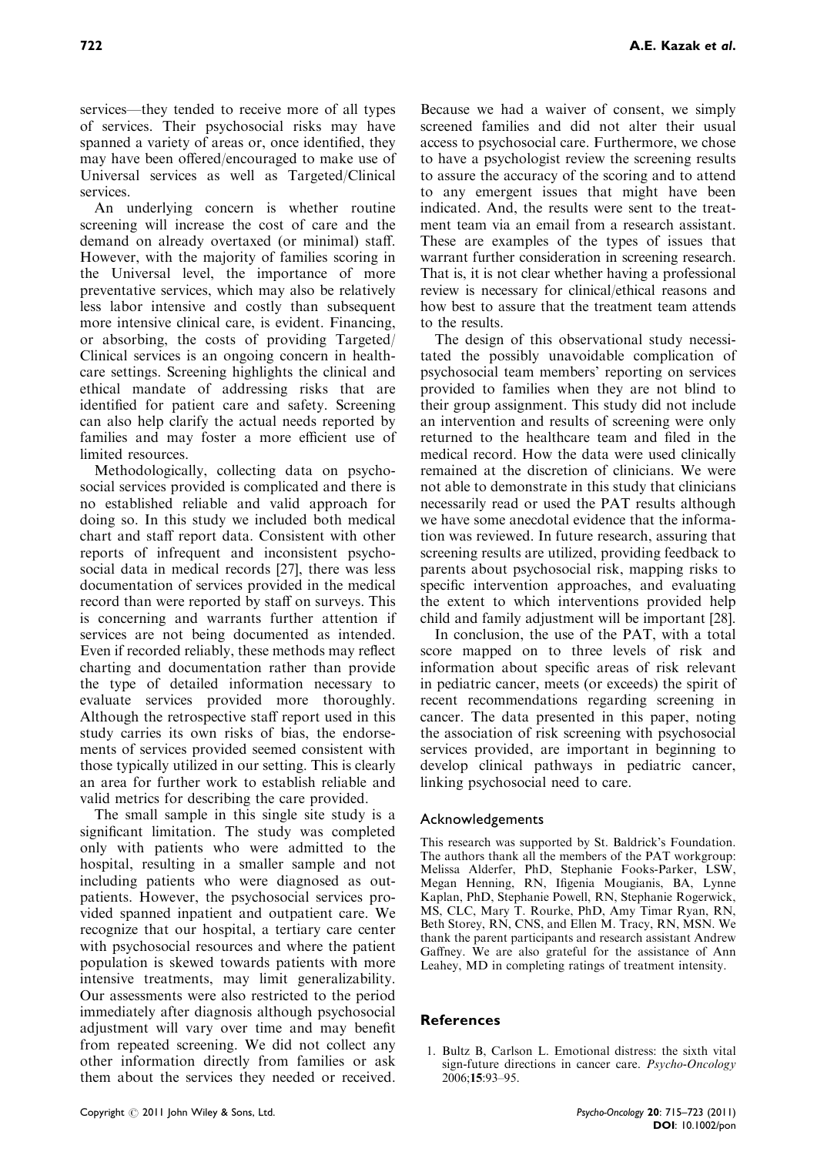services—they tended to receive more of all types of services. Their psychosocial risks may have spanned a variety of areas or, once identified, they may have been offered/encouraged to make use of Universal services as well as Targeted/Clinical services.

An underlying concern is whether routine screening will increase the cost of care and the demand on already overtaxed (or minimal) staff. However, with the majority of families scoring in the Universal level, the importance of more preventative services, which may also be relatively less labor intensive and costly than subsequent more intensive clinical care, is evident. Financing, or absorbing, the costs of providing Targeted/ Clinical services is an ongoing concern in healthcare settings. Screening highlights the clinical and ethical mandate of addressing risks that are identified for patient care and safety. Screening can also help clarify the actual needs reported by families and may foster a more efficient use of limited resources.

Methodologically, collecting data on psychosocial services provided is complicated and there is no established reliable and valid approach for doing so. In this study we included both medical chart and staff report data. Consistent with other reports of infrequent and inconsistent psychosocial data in medical records [27], there was less documentation of services provided in the medical record than were reported by staff on surveys. This is concerning and warrants further attention if services are not being documented as intended. Even if recorded reliably, these methods may reflect charting and documentation rather than provide the type of detailed information necessary to evaluate services provided more thoroughly. Although the retrospective staff report used in this study carries its own risks of bias, the endorsements of services provided seemed consistent with those typically utilized in our setting. This is clearly an area for further work to establish reliable and valid metrics for describing the care provided.

The small sample in this single site study is a significant limitation. The study was completed only with patients who were admitted to the hospital, resulting in a smaller sample and not including patients who were diagnosed as outpatients. However, the psychosocial services provided spanned inpatient and outpatient care. We recognize that our hospital, a tertiary care center with psychosocial resources and where the patient population is skewed towards patients with more intensive treatments, may limit generalizability. Our assessments were also restricted to the period immediately after diagnosis although psychosocial adjustment will vary over time and may benefit from repeated screening. We did not collect any other information directly from families or ask them about the services they needed or received.

Because we had a waiver of consent, we simply screened families and did not alter their usual access to psychosocial care. Furthermore, we chose to have a psychologist review the screening results to assure the accuracy of the scoring and to attend to any emergent issues that might have been indicated. And, the results were sent to the treatment team via an email from a research assistant. These are examples of the types of issues that warrant further consideration in screening research. That is, it is not clear whether having a professional review is necessary for clinical/ethical reasons and how best to assure that the treatment team attends to the results.

The design of this observational study necessitated the possibly unavoidable complication of psychosocial team members' reporting on services provided to families when they are not blind to their group assignment. This study did not include an intervention and results of screening were only returned to the healthcare team and filed in the medical record. How the data were used clinically remained at the discretion of clinicians. We were not able to demonstrate in this study that clinicians necessarily read or used the PAT results although we have some anecdotal evidence that the information was reviewed. In future research, assuring that screening results are utilized, providing feedback to parents about psychosocial risk, mapping risks to specific intervention approaches, and evaluating the extent to which interventions provided help child and family adjustment will be important [28].

In conclusion, the use of the PAT, with a total score mapped on to three levels of risk and information about specific areas of risk relevant in pediatric cancer, meets (or exceeds) the spirit of recent recommendations regarding screening in cancer. The data presented in this paper, noting the association of risk screening with psychosocial services provided, are important in beginning to develop clinical pathways in pediatric cancer, linking psychosocial need to care.

# Acknowledgements

This research was supported by St. Baldrick's Foundation. The authors thank all the members of the PAT workgroup: Melissa Alderfer, PhD, Stephanie Fooks-Parker, LSW, Megan Henning, RN, Ifigenia Mougianis, BA, Lynne Kaplan, PhD, Stephanie Powell, RN, Stephanie Rogerwick, MS, CLC, Mary T. Rourke, PhD, Amy Timar Ryan, RN, Beth Storey, RN, CNS, and Ellen M. Tracy, RN, MSN. We thank the parent participants and research assistant Andrew Gaffney. We are also grateful for the assistance of Ann Leahey, MD in completing ratings of treatment intensity.

#### References

1. Bultz B, Carlson L. Emotional distress: the sixth vital sign-future directions in cancer care. Psycho-Oncology 2006;15:93–95.